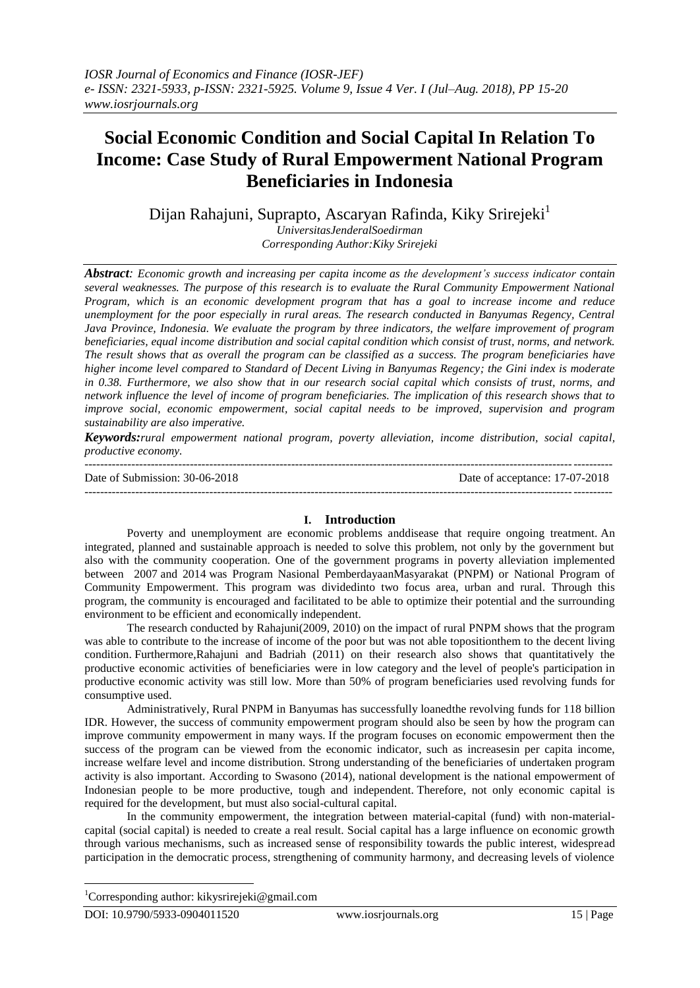# **Social Economic Condition and Social Capital In Relation To Income: Case Study of Rural Empowerment National Program Beneficiaries in Indonesia**

Dijan Rahajuni, Suprapto, Ascaryan Rafinda, Kiky Srirejeki<sup>1</sup>

*UniversitasJenderalSoedirman Corresponding Author:Kiky Srirejeki*

*Abstract: Economic growth and increasing per capita income as the development's success indicator contain several weaknesses. The purpose of this research is to evaluate the Rural Community Empowerment National Program, which is an economic development program that has a goal to increase income and reduce unemployment for the poor especially in rural areas. The research conducted in Banyumas Regency, Central Java Province, Indonesia. We evaluate the program by three indicators, the welfare improvement of program beneficiaries, equal income distribution and social capital condition which consist of trust, norms, and network. The result shows that as overall the program can be classified as a success. The program beneficiaries have higher income level compared to Standard of Decent Living in Banyumas Regency; the Gini index is moderate in 0.38. Furthermore, we also show that in our research social capital which consists of trust, norms, and network influence the level of income of program beneficiaries. The implication of this research shows that to improve social, economic empowerment, social capital needs to be improved, supervision and program sustainability are also imperative.* 

*Keywords:rural empowerment national program, poverty alleviation, income distribution, social capital, productive economy.* 

| Date of Submission: 30-06-2018 | Date of acceptance: 17-07-2018 |
|--------------------------------|--------------------------------|
|                                |                                |

# **I. Introduction**

Poverty and unemployment are economic problems anddisease that require ongoing treatment. An integrated, planned and sustainable approach is needed to solve this problem, not only by the government but also with the community cooperation. One of the government programs in poverty alleviation implemented between 2007 and 2014 was Program Nasional PemberdayaanMasyarakat (PNPM) or National Program of Community Empowerment. This program was dividedinto two focus area, urban and rural. Through this program, the community is encouraged and facilitated to be able to optimize their potential and the surrounding environment to be efficient and economically independent.

The research conducted by Rahajuni(2009, 2010) on the impact of rural PNPM shows that the program was able to contribute to the increase of income of the poor but was not able topositionthem to the decent living condition. Furthermore,Rahajuni and Badriah (2011) on their research also shows that quantitatively the productive economic activities of beneficiaries were in low category and the level of people's participation in productive economic activity was still low. More than 50% of program beneficiaries used revolving funds for consumptive used.

Administratively, Rural PNPM in Banyumas has successfully loanedthe revolving funds for 118 billion IDR. However, the success of community empowerment program should also be seen by how the program can improve community empowerment in many ways. If the program focuses on economic empowerment then the success of the program can be viewed from the economic indicator, such as increasesin per capita income, increase welfare level and income distribution. Strong understanding of the beneficiaries of undertaken program activity is also important. According to Swasono (2014), national development is the national empowerment of Indonesian people to be more productive, tough and independent. Therefore, not only economic capital is required for the development, but must also social-cultural capital.

In the community empowerment, the integration between material-capital (fund) with non-materialcapital (social capital) is needed to create a real result. Social capital has a large influence on economic growth through various mechanisms, such as increased sense of responsibility towards the public interest, widespread participation in the democratic process, strengthening of community harmony, and decreasing levels of violence

**.** 

<sup>&</sup>lt;sup>1</sup>Corresponding author: kikysrirejeki@gmail.com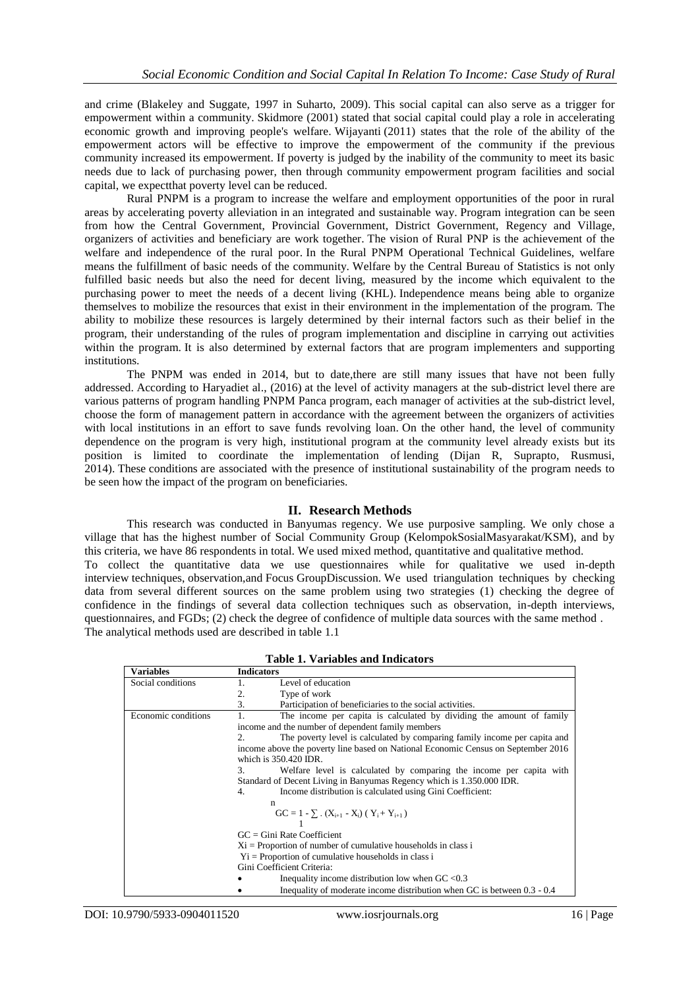and crime (Blakeley and Suggate, 1997 in Suharto, 2009). This social capital can also serve as a trigger for empowerment within a community. Skidmore (2001) stated that social capital could play a role in accelerating economic growth and improving people's welfare. Wijayanti (2011) states that the role of the ability of the empowerment actors will be effective to improve the empowerment of the community if the previous community increased its empowerment. If poverty is judged by the inability of the community to meet its basic needs due to lack of purchasing power, then through community empowerment program facilities and social capital, we expectthat poverty level can be reduced.

Rural PNPM is a program to increase the welfare and employment opportunities of the poor in rural areas by accelerating poverty alleviation in an integrated and sustainable way. Program integration can be seen from how the Central Government, Provincial Government, District Government, Regency and Village, organizers of activities and beneficiary are work together. The vision of Rural PNP is the achievement of the welfare and independence of the rural poor. In the Rural PNPM Operational Technical Guidelines, welfare means the fulfillment of basic needs of the community. Welfare by the Central Bureau of Statistics is not only fulfilled basic needs but also the need for decent living, measured by the income which equivalent to the purchasing power to meet the needs of a decent living (KHL). Independence means being able to organize themselves to mobilize the resources that exist in their environment in the implementation of the program. The ability to mobilize these resources is largely determined by their internal factors such as their belief in the program, their understanding of the rules of program implementation and discipline in carrying out activities within the program. It is also determined by external factors that are program implementers and supporting *institutions* 

The PNPM was ended in 2014, but to date,there are still many issues that have not been fully addressed. According to Haryadiet al., (2016) at the level of activity managers at the sub-district level there are various patterns of program handling PNPM Panca program, each manager of activities at the sub-district level, choose the form of management pattern in accordance with the agreement between the organizers of activities with local institutions in an effort to save funds revolving loan. On the other hand, the level of community dependence on the program is very high, institutional program at the community level already exists but its position is limited to coordinate the implementation of lending (Dijan R, Suprapto, Rusmusi, 2014). These conditions are associated with the presence of institutional sustainability of the program needs to be seen how the impact of the program on beneficiaries.

# **II. Research Methods**

This research was conducted in Banyumas regency. We use purposive sampling. We only chose a village that has the highest number of Social Community Group (KelompokSosialMasyarakat/KSM), and by this criteria, we have 86 respondents in total. We used mixed method, quantitative and qualitative method. To collect the quantitative data we use questionnaires while for qualitative we used in-depth interview techniques, observation,and Focus GroupDiscussion. We used triangulation techniques by checking data from several different sources on the same problem using two strategies (1) checking the degree of confidence in the findings of several data collection techniques such as observation, in-depth interviews, questionnaires, and FGDs; (2) check the degree of confidence of multiple data sources with the same method .

| <b>Table 1. Variables and Indicators</b> |                                                                                   |  |
|------------------------------------------|-----------------------------------------------------------------------------------|--|
| <b>Variables</b>                         | <b>Indicators</b>                                                                 |  |
| Social conditions                        | Level of education<br>1.                                                          |  |
|                                          | 2.<br>Type of work                                                                |  |
|                                          | 3.<br>Participation of beneficiaries to the social activities.                    |  |
| Economic conditions                      | 1.<br>The income per capita is calculated by dividing the amount of family        |  |
|                                          | income and the number of dependent family members                                 |  |
|                                          | The poverty level is calculated by comparing family income per capita and<br>2.   |  |
|                                          | income above the poverty line based on National Economic Census on September 2016 |  |
|                                          | which is 350.420 IDR.                                                             |  |
|                                          | 3.<br>Welfare level is calculated by comparing the income per capita with         |  |
|                                          | Standard of Decent Living in Banyumas Regency which is 1.350.000 IDR.             |  |
|                                          | Income distribution is calculated using Gini Coefficient:<br>4.                   |  |
| n                                        |                                                                                   |  |
|                                          | $GC = 1 - \sum (X_{i+1} - X_i) (Y_i + Y_{i+1})$                                   |  |
|                                          |                                                                                   |  |
|                                          | $GC = Gini$ Rate Coefficient                                                      |  |
|                                          | $Xi$ = Proportion of number of cumulative households in class i                   |  |
|                                          | $Y_i$ = Proportion of cumulative households in class i                            |  |
|                                          | Gini Coefficient Criteria:                                                        |  |
|                                          | Inequality income distribution low when $GC < 0.3$                                |  |
|                                          | Inequality of moderate income distribution when GC is between 0.3 - 0.4           |  |

The analytical methods used are described in table 1.1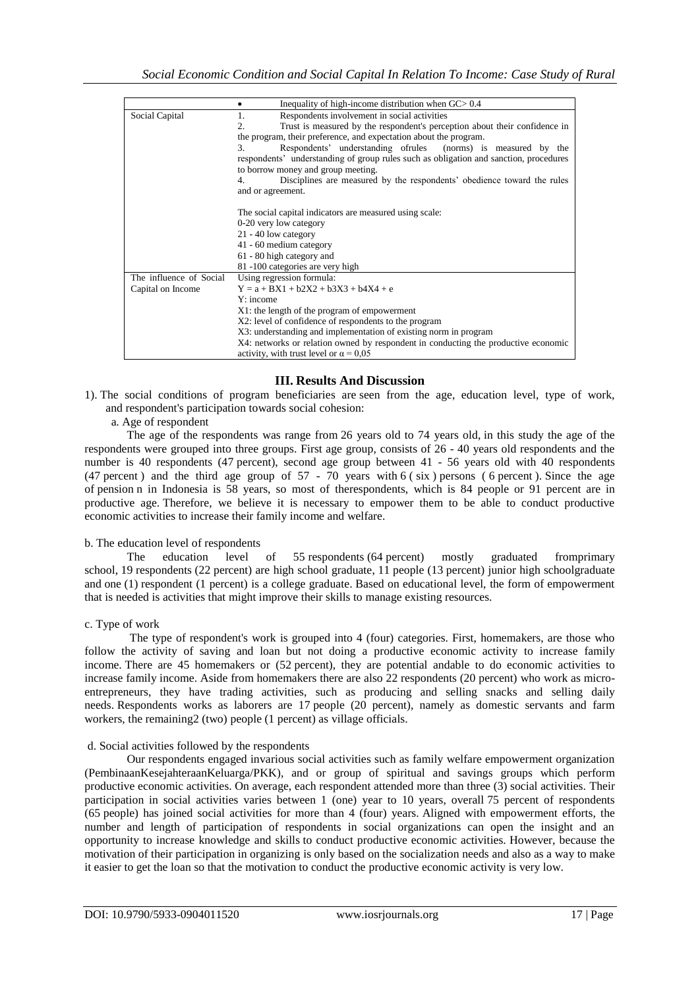|                         | Inequality of high-income distribution when $GC > 0.4$                                |  |
|-------------------------|---------------------------------------------------------------------------------------|--|
| Social Capital          | Respondents involvement in social activities<br>1.                                    |  |
|                         | 2.<br>Trust is measured by the respondent's perception about their confidence in      |  |
|                         | the program, their preference, and expectation about the program.                     |  |
|                         | Respondents' understanding ofrules (norms) is measured by the<br>3.                   |  |
|                         | respondents' understanding of group rules such as obligation and sanction, procedures |  |
|                         | to borrow money and group meeting.                                                    |  |
|                         | Disciplines are measured by the respondents' obedience toward the rules<br>4.         |  |
|                         | and or agreement.                                                                     |  |
|                         |                                                                                       |  |
|                         | The social capital indicators are measured using scale:                               |  |
|                         | 0-20 very low category                                                                |  |
|                         | 21 - 40 low category                                                                  |  |
|                         | 41 - 60 medium category                                                               |  |
|                         | 61 - 80 high category and                                                             |  |
|                         | 81-100 categories are very high                                                       |  |
| The influence of Social | Using regression formula:                                                             |  |
| Capital on Income       | $Y = a + BX1 + b2X2 + b3X3 + b4X4 + e$                                                |  |
|                         | $Y:$ income                                                                           |  |
|                         |                                                                                       |  |
|                         | X1: the length of the program of empowerment                                          |  |
|                         | X2: level of confidence of respondents to the program                                 |  |
|                         | X3: understanding and implementation of existing norm in program                      |  |
|                         | X4: networks or relation owned by respondent in conducting the productive economic    |  |
|                         | activity, with trust level or $\alpha = 0.05$                                         |  |

# **III. Results And Discussion**

1). The social conditions of program beneficiaries are seen from the age, education level, type of work, and respondent's participation towards social cohesion:

a. Age of respondent

The age of the respondents was range from 26 years old to 74 years old, in this study the age of the respondents were grouped into three groups. First age group, consists of 26 - 40 years old respondents and the number is 40 respondents (47 percent), second age group between 41 - 56 years old with 40 respondents (47 percent) and the third age group of  $57 - 70$  years with  $6$  (six) persons (6 percent). Since the age of pension n in Indonesia is 58 years, so most of therespondents, which is 84 people or 91 percent are in productive age. Therefore, we believe it is necessary to empower them to be able to conduct productive economic activities to increase their family income and welfare.

#### b. The education level of respondents

The education level of 55 respondents (64 percent) mostly graduated fromprimary school, 19 respondents (22 percent) are high school graduate, 11 people (13 percent) junior high schoolgraduate and one (1) respondent (1 percent) is a college graduate. Based on educational level, the form of empowerment that is needed is activities that might improve their skills to manage existing resources.

## c. Type of work

The type of respondent's work is grouped into 4 (four) categories. First, homemakers, are those who follow the activity of saving and loan but not doing a productive economic activity to increase family income. There are 45 homemakers or (52 percent), they are potential andable to do economic activities to increase family income. Aside from homemakers there are also 22 respondents (20 percent) who work as microentrepreneurs, they have trading activities, such as producing and selling snacks and selling daily needs. Respondents works as laborers are 17 people (20 percent), namely as domestic servants and farm workers, the remaining2 (two) people (1 percent) as village officials.

#### d. Social activities followed by the respondents

Our respondents engaged invarious social activities such as family welfare empowerment organization (PembinaanKesejahteraanKeluarga/PKK), and or group of spiritual and savings groups which perform productive economic activities. On average, each respondent attended more than three (3) social activities. Their participation in social activities varies between 1 (one) year to 10 years, overall 75 percent of respondents (65 people) has joined social activities for more than 4 (four) years. Aligned with empowerment efforts, the number and length of participation of respondents in social organizations can open the insight and an opportunity to increase knowledge and skills to conduct productive economic activities. However, because the motivation of their participation in organizing is only based on the socialization needs and also as a way to make it easier to get the loan so that the motivation to conduct the productive economic activity is very low.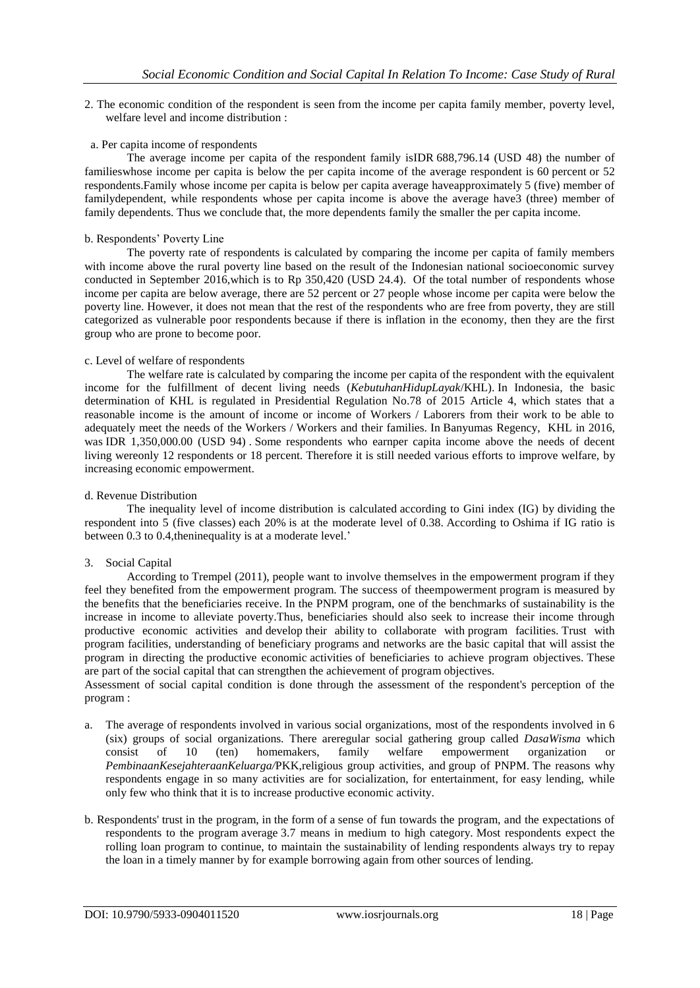2. The economic condition of the respondent is seen from the income per capita family member, poverty level, welfare level and income distribution :

#### a. Per capita income of respondents

The average income per capita of the respondent family isIDR 688,796.14 (USD 48) the number of familieswhose income per capita is below the per capita income of the average respondent is 60 percent or 52 respondents.Family whose income per capita is below per capita average haveapproximately 5 (five) member of familydependent, while respondents whose per capita income is above the average have3 (three) member of family dependents. Thus we conclude that, the more dependents family the smaller the per capita income.

#### b. Respondents' Poverty Line

The poverty rate of respondents is calculated by comparing the income per capita of family members with income above the rural poverty line based on the result of the Indonesian national socioeconomic survey conducted in September 2016,which is to Rp 350,420 (USD 24.4). Of the total number of respondents whose income per capita are below average, there are 52 percent or 27 people whose income per capita were below the poverty line. However, it does not mean that the rest of the respondents who are free from poverty, they are still categorized as vulnerable poor respondents because if there is inflation in the economy, then they are the first group who are prone to become poor.

#### c. Level of welfare of respondents

The welfare rate is calculated by comparing the income per capita of the respondent with the equivalent income for the fulfillment of decent living needs (*KebutuhanHidupLayak*/KHL). In Indonesia, the basic determination of KHL is regulated in Presidential Regulation No.78 of 2015 Article 4, which states that a reasonable income is the amount of income or income of Workers / Laborers from their work to be able to adequately meet the needs of the Workers / Workers and their families. In Banyumas Regency, KHL in 2016, was IDR 1,350,000.00 (USD 94) . Some respondents who earnper capita income above the needs of decent living wereonly 12 respondents or 18 percent. Therefore it is still needed various efforts to improve welfare, by increasing economic empowerment.

#### d. Revenue Distribution

The inequality level of income distribution is calculated according to Gini index (IG) by dividing the respondent into 5 (five classes) each 20% is at the moderate level of 0.38. According to Oshima if IG ratio is between 0.3 to 0.4,theninequality is at a moderate level.'

## 3. Social Capital

According to Trempel (2011), people want to involve themselves in the empowerment program if they feel they benefited from the empowerment program. The success of theempowerment program is measured by the benefits that the beneficiaries receive. In the PNPM program, one of the benchmarks of sustainability is the increase in income to alleviate poverty.Thus, beneficiaries should also seek to increase their income through productive economic activities and develop their ability to collaborate with program facilities. Trust with program facilities, understanding of beneficiary programs and networks are the basic capital that will assist the program in directing the productive economic activities of beneficiaries to achieve program objectives. These are part of the social capital that can strengthen the achievement of program objectives.

Assessment of social capital condition is done through the assessment of the respondent's perception of the program :

- a. The average of respondents involved in various social organizations, most of the respondents involved in 6 (six) groups of social organizations. There areregular social gathering group called *DasaWisma* which consist of 10 (ten) homemakers, family welfare empowerment organization or *PembinaanKesejahteraanKeluarga/*PKK,religious group activities, and group of PNPM. The reasons why respondents engage in so many activities are for socialization, for entertainment, for easy lending, while only few who think that it is to increase productive economic activity.
- b. Respondents' trust in the program, in the form of a sense of fun towards the program, and the expectations of respondents to the program average 3.7 means in medium to high category. Most respondents expect the rolling loan program to continue, to maintain the sustainability of lending respondents always try to repay the loan in a timely manner by for example borrowing again from other sources of lending.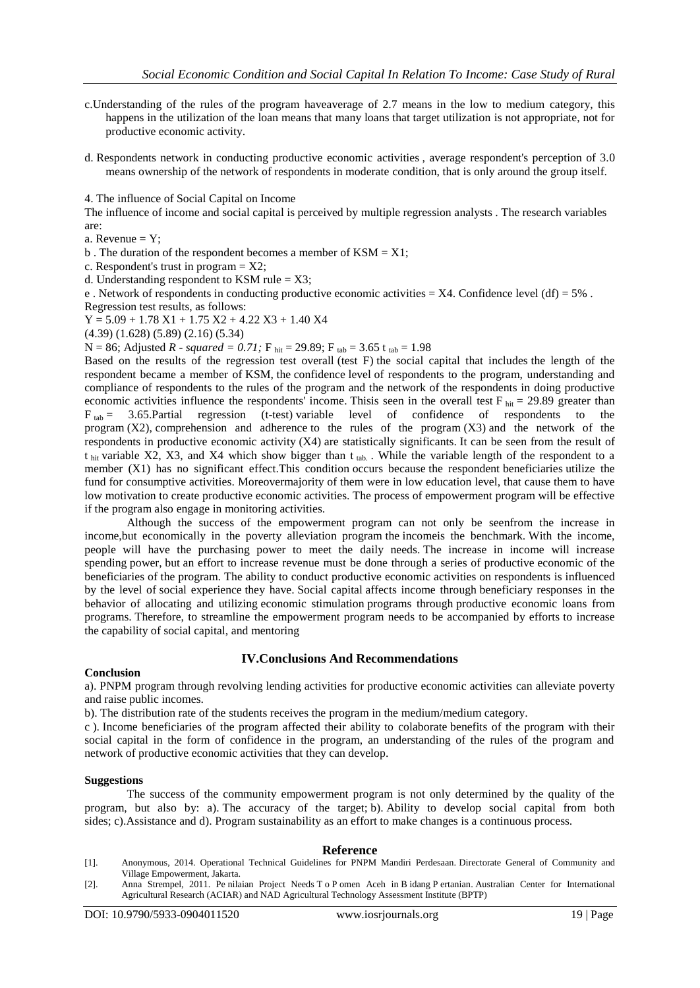- c.Understanding of the rules of the program haveaverage of 2.7 means in the low to medium category, this happens in the utilization of the loan means that many loans that target utilization is not appropriate, not for productive economic activity.
- d. Respondents network in conducting productive economic activities , average respondent's perception of 3.0 means ownership of the network of respondents in moderate condition, that is only around the group itself.

4. The influence of Social Capital on Income

The influence of income and social capital is perceived by multiple regression analysts . The research variables are:

a. Revenue  $= Y$ ;

- b. The duration of the respondent becomes a member of  $KSM = X1$ ;
- c. Respondent's trust in program  $= X2$ ;

d. Understanding respondent to KSM rule  $= X3$ ;

e . Network of respondents in conducting productive economic activities =  $X4$ . Confidence level (df) =  $5\%$ . Regression test results, as follows:

 $Y = 5.09 + 1.78 X1 + 1.75 X2 + 4.22 X3 + 1.40 X4$ 

(4.39) (1.628) (5.89) (2.16) (5.34)

N = 86; Adjusted *R* - *squared* = 0.71; F  $_{hit}$  = 29.89; F  $_{tab}$  = 3.65 t  $_{tab}$  = 1.98

Based on the results of the regression test overall (test F) the social capital that includes the length of the respondent became a member of KSM, the confidence level of respondents to the program, understanding and compliance of respondents to the rules of the program and the network of the respondents in doing productive economic activities influence the respondents' income. This is seen in the overall test  $F_{\text{hit}} = 29.89$  greater than  $F_{tab}$  = 3.65. Partial regression (t-test) variable level of confidence of respondents to the program  $(X2)$ , comprehension and adherence to the rules of the program  $(X3)$  and the network of the respondents in productive economic activity (X4) are statistically significants. It can be seen from the result of t  $_{hit}$  variable X2, X3, and X4 which show bigger than t  $_{tab.}$ . While the variable length of the respondent to a member (X1) has no significant effect.This condition occurs because the respondent beneficiaries utilize the fund for consumptive activities. Moreovermajority of them were in low education level, that cause them to have low motivation to create productive economic activities. The process of empowerment program will be effective if the program also engage in monitoring activities.

Although the success of the empowerment program can not only be seenfrom the increase in income,but economically in the poverty alleviation program the incomeis the benchmark. With the income, people will have the purchasing power to meet the daily needs. The increase in income will increase spending power, but an effort to increase revenue must be done through a series of productive economic of the beneficiaries of the program. The ability to conduct productive economic activities on respondents is influenced by the level of social experience they have. Social capital affects income through beneficiary responses in the behavior of allocating and utilizing economic stimulation programs through productive economic loans from programs. Therefore, to streamline the empowerment program needs to be accompanied by efforts to increase the capability of social capital, and mentoring

#### **IV.Conclusions And Recommendations**

#### **Conclusion**

a). PNPM program through revolving lending activities for productive economic activities can alleviate poverty and raise public incomes.

b). The distribution rate of the students receives the program in the medium/medium category.

c ). Income beneficiaries of the program affected their ability to colaborate benefits of the program with their social capital in the form of confidence in the program, an understanding of the rules of the program and network of productive economic activities that they can develop.

#### **Suggestions**

The success of the community empowerment program is not only determined by the quality of the program, but also by: a). The accuracy of the target; b). Ability to develop social capital from both sides; c).Assistance and d). Program sustainability as an effort to make changes is a continuous process.

#### **Reference**

- [1]. Anonymous, 2014. Operational Technical Guidelines for PNPM Mandiri Perdesaan. Directorate General of Community and Village Empowerment, Jakarta.
- [2]. Anna Strempel, 2011. Pe nilaian Project Needs T o P omen Aceh in B idang P ertanian. Australian Center for International Agricultural Research (ACIAR) and NAD Agricultural Technology Assessment Institute (BPTP)